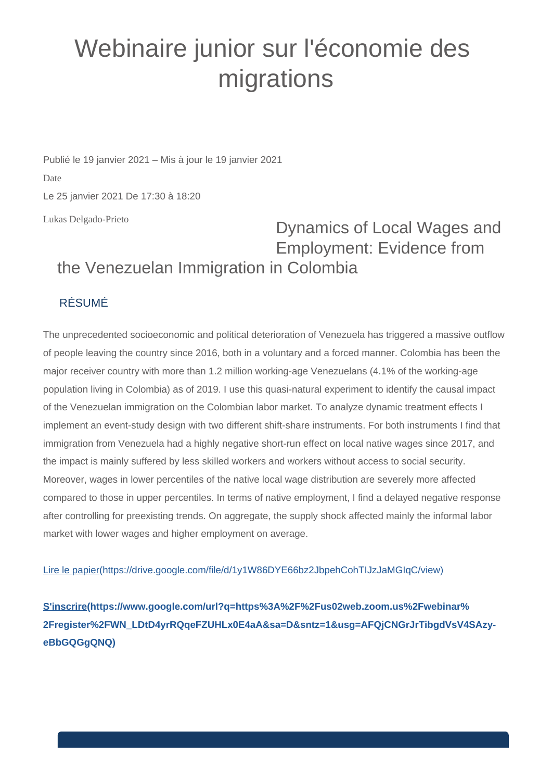## Webinaire junior sur l'économie des migrations

Publié le 19 janvier 2021 – Mis à jour le 19 janvier 2021 Date Le 25 janvier 2021 De 17:30 à 18:20

Lukas Delgado-Prieto

## Dynamics of Local Wages and Employment: Evidence from the Venezuelan Immigration in Colombia

## RÉSUMÉ

The unprecedented socioeconomic and political deterioration of Venezuela has triggered a massive outflow of people leaving the country since 2016, both in a voluntary and a forced manner. Colombia has been the major receiver country with more than 1.2 million working-age Venezuelans (4.1% of the working-age population living in Colombia) as of 2019. I use this quasi-natural experiment to identify the causal impact of the Venezuelan immigration on the Colombian labor market. To analyze dynamic treatment effects I implement an event-study design with two different shift-share instruments. For both instruments I find that immigration from Venezuela had a highly negative short-run effect on local native wages since 2017, and the impact is mainly suffered by less skilled workers and workers without access to social security. Moreover, wages in lower percentiles of the native local wage distribution are severely more affected compared to those in upper percentiles. In terms of native employment, I find a delayed negative response after controlling for preexisting trends. On aggregate, the supply shock affected mainly the informal labor market with lower wages and higher employment on average.

[Lire le papier\(https://drive.google.com/file/d/1y1W86DYE66bz2JbpehCohTIJzJaMGIqC/view\)](https://drive.google.com/file/d/1y1W86DYE66bz2JbpehCohTIJzJaMGIqC/view)

**[S'inscrire\(https://www.google.com/url?q=https%3A%2F%2Fus02web.zoom.us%2Fwebinar%](https://www.google.com/url?q=https%3A%2F%2Fus02web.zoom.us%2Fwebinar%2Fregister%2FWN_LDtD4yrRQqeFZUHLx0E4aA&sa=D&sntz=1&usg=AFQjCNGrJrTibgdVsV4SAzy-eBbGQGgQNQ) [2Fregister%2FWN\\_LDtD4yrRQqeFZUHLx0E4aA&sa=D&sntz=1&usg=AFQjCNGrJrTibgdVsV4SAzy](https://www.google.com/url?q=https%3A%2F%2Fus02web.zoom.us%2Fwebinar%2Fregister%2FWN_LDtD4yrRQqeFZUHLx0E4aA&sa=D&sntz=1&usg=AFQjCNGrJrTibgdVsV4SAzy-eBbGQGgQNQ)[eBbGQGgQNQ\)](https://www.google.com/url?q=https%3A%2F%2Fus02web.zoom.us%2Fwebinar%2Fregister%2FWN_LDtD4yrRQqeFZUHLx0E4aA&sa=D&sntz=1&usg=AFQjCNGrJrTibgdVsV4SAzy-eBbGQGgQNQ)**